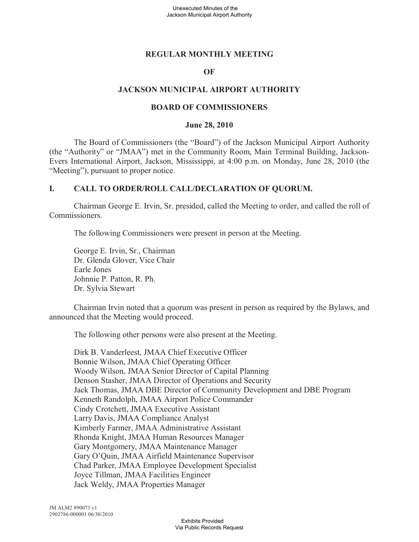#### **REGULAR MONTHLY MEETING**

#### **OF**

### **JACKSON MUNICIPAL AIRPORT AUTHORITY**

#### **BOARD OF COMMISSIONERS**

#### **June 28, 2010**

The Board of Commissioners (the "Board") of the Jackson Municipal Airport Authority (the "Authority" or "JMAA") met in the Community Room, Main Terminal Building, Jackson-Evers International Airport, Jackson, Mississippi, at 4:00 p.m. on Monday, June 28, 2010 (the "Meeting"), pursuant to proper notice.

#### **I. CALL TO ORDER/ROLL CALL/DECLARATION OF QUORUM.**

Chairman George E. Irvin, Sr. presided, called the Meeting to order, and called the roll of Commissioners.

The following Commissioners were present in person at the Meeting.

George E. Irvin, Sr., Chairman Dr. Glenda Glover, Vice Chair Earle Jones Johnnie P. Patton, R. Ph. Dr. Sylvia Stewart

Chairman Irvin noted that a quorum was present in person as required by the Bylaws, and announced that the Meeting would proceed.

The following other persons were also present at the Meeting.

Dirk B. Vanderleest, JMAA Chief Executive Officer Bonnie Wilson, JMAA Chief Operating Officer Woody Wilson, JMAA Senior Director of Capital Planning Denson Stasher, JMAA Director of Operations and Security Jack Thomas, JMAA DBE Director of Community Development and DBE Program Kenneth Randolph, JMAA Airport Police Commander Cindy Crotchett, JMAA Executive Assistant Larry Davis, JMAA Compliance Analyst Kimberly Farmer, JMAA Administrative Assistant Rhonda Knight, JMAA Human Resources Manager Gary Montgomery, JMAA Maintenance Manager Gary O'Quin, JMAA Airfield Maintenance Supervisor Chad Parker, JMAA Employee Development Specialist Joyce Tillman, JMAA Facilities Engineer Jack Weldy, JMAA Properties Manager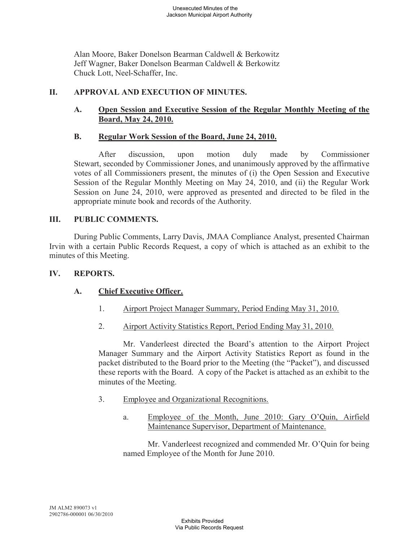Alan Moore, Baker Donelson Bearman Caldwell & Berkowitz Jeff Wagner, Baker Donelson Bearman Caldwell & Berkowitz Chuck Lott, Neel-Schaffer, Inc.

# **II. APPROVAL AND EXECUTION OF MINUTES.**

# **A. Open Session and Executive Session of the Regular Monthly Meeting of the Board, May 24, 2010.**

#### **B. Regular Work Session of the Board, June 24, 2010.**

After discussion, upon motion duly made by Commissioner Stewart, seconded by Commissioner Jones, and unanimously approved by the affirmative votes of all Commissioners present, the minutes of (i) the Open Session and Executive Session of the Regular Monthly Meeting on May 24, 2010, and (ii) the Regular Work Session on June 24, 2010, were approved as presented and directed to be filed in the appropriate minute book and records of the Authority.

#### **III. PUBLIC COMMENTS.**

During Public Comments, Larry Davis, JMAA Compliance Analyst, presented Chairman Irvin with a certain Public Records Request, a copy of which is attached as an exhibit to the minutes of this Meeting.

#### **IV. REPORTS.**

### **A. Chief Executive Officer.**

- 1. Airport Project Manager Summary, Period Ending May 31, 2010.
- 2. Airport Activity Statistics Report, Period Ending May 31, 2010.

Mr. Vanderleest directed the Board's attention to the Airport Project Manager Summary and the Airport Activity Statistics Report as found in the packet distributed to the Board prior to the Meeting (the "Packet"), and discussed these reports with the Board. A copy of the Packet is attached as an exhibit to the minutes of the Meeting.

- 3. Employee and Organizational Recognitions.
	- a. Employee of the Month, June 2010: Gary O'Quin, Airfield Maintenance Supervisor, Department of Maintenance.

Mr. Vanderleest recognized and commended Mr. O'Quin for being named Employee of the Month for June 2010.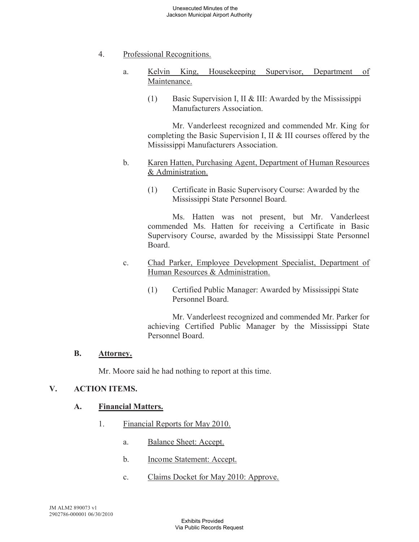- 4. Professional Recognitions.
	- a. Kelvin King, Housekeeping Supervisor, Department of Maintenance.
		- (1) Basic Supervision I, II & III: Awarded by the Mississippi Manufacturers Association.

Mr. Vanderleest recognized and commended Mr. King for completing the Basic Supervision I, II & III courses offered by the Mississippi Manufacturers Association.

- b. Karen Hatten, Purchasing Agent, Department of Human Resources & Administration.
	- (1) Certificate in Basic Supervisory Course: Awarded by the Mississippi State Personnel Board.

Ms. Hatten was not present, but Mr. Vanderleest commended Ms. Hatten for receiving a Certificate in Basic Supervisory Course, awarded by the Mississippi State Personnel Board.

- c. Chad Parker, Employee Development Specialist, Department of Human Resources & Administration.
	- (1) Certified Public Manager: Awarded by Mississippi State Personnel Board.

Mr. Vanderleest recognized and commended Mr. Parker for achieving Certified Public Manager by the Mississippi State Personnel Board.

#### **B. Attorney.**

Mr. Moore said he had nothing to report at this time.

### **V. ACTION ITEMS.**

#### **A. Financial Matters.**

- 1. Financial Reports for May 2010.
	- a. Balance Sheet: Accept.
	- b. Income Statement: Accept.
	- c. Claims Docket for May 2010: Approve.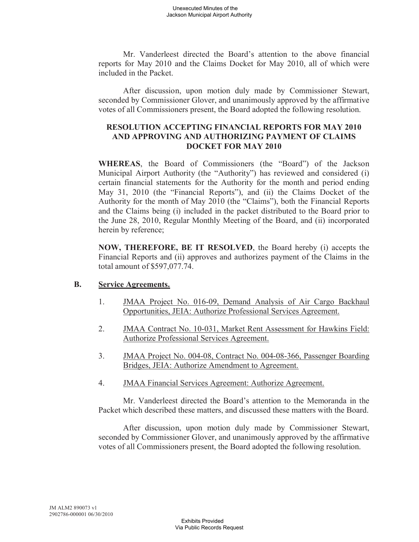Mr. Vanderleest directed the Board's attention to the above financial reports for May 2010 and the Claims Docket for May 2010, all of which were included in the Packet.

After discussion, upon motion duly made by Commissioner Stewart, seconded by Commissioner Glover, and unanimously approved by the affirmative votes of all Commissioners present, the Board adopted the following resolution.

# **RESOLUTION ACCEPTING FINANCIAL REPORTS FOR MAY 2010 AND APPROVING AND AUTHORIZING PAYMENT OF CLAIMS DOCKET FOR MAY 2010**

**WHEREAS**, the Board of Commissioners (the "Board") of the Jackson Municipal Airport Authority (the "Authority") has reviewed and considered (i) certain financial statements for the Authority for the month and period ending May 31, 2010 (the "Financial Reports"), and (ii) the Claims Docket of the Authority for the month of May 2010 (the "Claims"), both the Financial Reports and the Claims being (i) included in the packet distributed to the Board prior to the June 28, 2010, Regular Monthly Meeting of the Board, and (ii) incorporated herein by reference;

**NOW, THEREFORE, BE IT RESOLVED**, the Board hereby (i) accepts the Financial Reports and (ii) approves and authorizes payment of the Claims in the total amount of \$597,077.74.

### **B. Service Agreements.**

- 1. JMAA Project No. 016-09, Demand Analysis of Air Cargo Backhaul Opportunities, JEIA: Authorize Professional Services Agreement.
- 2. JMAA Contract No. 10-031, Market Rent Assessment for Hawkins Field: Authorize Professional Services Agreement.
- 3. JMAA Project No. 004-08, Contract No. 004-08-366, Passenger Boarding Bridges, JEIA: Authorize Amendment to Agreement.
- 4. JMAA Financial Services Agreement: Authorize Agreement.

Mr. Vanderleest directed the Board's attention to the Memoranda in the Packet which described these matters, and discussed these matters with the Board.

After discussion, upon motion duly made by Commissioner Stewart, seconded by Commissioner Glover, and unanimously approved by the affirmative votes of all Commissioners present, the Board adopted the following resolution.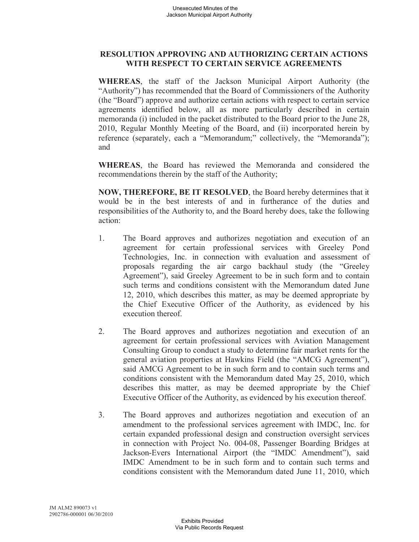### **RESOLUTION APPROVING AND AUTHORIZING CERTAIN ACTIONS WITH RESPECT TO CERTAIN SERVICE AGREEMENTS**

**WHEREAS**, the staff of the Jackson Municipal Airport Authority (the "Authority") has recommended that the Board of Commissioners of the Authority (the "Board") approve and authorize certain actions with respect to certain service agreements identified below, all as more particularly described in certain memoranda (i) included in the packet distributed to the Board prior to the June 28, 2010, Regular Monthly Meeting of the Board, and (ii) incorporated herein by reference (separately, each a "Memorandum;" collectively, the "Memoranda"); and

**WHEREAS**, the Board has reviewed the Memoranda and considered the recommendations therein by the staff of the Authority;

**NOW, THEREFORE, BE IT RESOLVED**, the Board hereby determines that it would be in the best interests of and in furtherance of the duties and responsibilities of the Authority to, and the Board hereby does, take the following action:

- 1. The Board approves and authorizes negotiation and execution of an agreement for certain professional services with Greeley Pond Technologies, Inc. in connection with evaluation and assessment of proposals regarding the air cargo backhaul study (the "Greeley Agreement"), said Greeley Agreement to be in such form and to contain such terms and conditions consistent with the Memorandum dated June 12, 2010, which describes this matter, as may be deemed appropriate by the Chief Executive Officer of the Authority, as evidenced by his execution thereof.
- 2. The Board approves and authorizes negotiation and execution of an agreement for certain professional services with Aviation Management Consulting Group to conduct a study to determine fair market rents for the general aviation properties at Hawkins Field (the "AMCG Agreement"), said AMCG Agreement to be in such form and to contain such terms and conditions consistent with the Memorandum dated May 25, 2010, which describes this matter, as may be deemed appropriate by the Chief Executive Officer of the Authority, as evidenced by his execution thereof.
- 3. The Board approves and authorizes negotiation and execution of an amendment to the professional services agreement with IMDC, Inc. for certain expanded professional design and construction oversight services in connection with Project No. 004-08, Passenger Boarding Bridges at Jackson-Evers International Airport (the "IMDC Amendment"), said IMDC Amendment to be in such form and to contain such terms and conditions consistent with the Memorandum dated June 11, 2010, which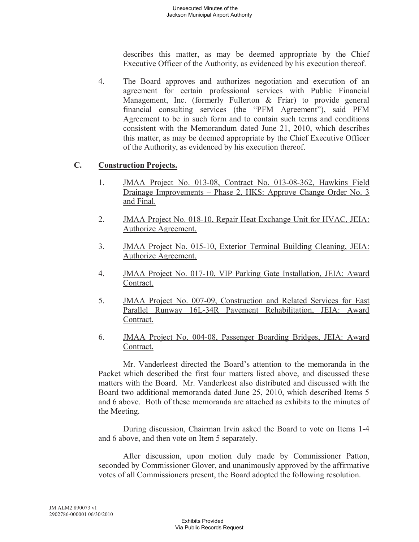describes this matter, as may be deemed appropriate by the Chief Executive Officer of the Authority, as evidenced by his execution thereof.

4. The Board approves and authorizes negotiation and execution of an agreement for certain professional services with Public Financial Management, Inc. (formerly Fullerton & Friar) to provide general financial consulting services (the "PFM Agreement"), said PFM Agreement to be in such form and to contain such terms and conditions consistent with the Memorandum dated June 21, 2010, which describes this matter, as may be deemed appropriate by the Chief Executive Officer of the Authority, as evidenced by his execution thereof.

# **C. Construction Projects.**

- 1. JMAA Project No. 013-08, Contract No. 013-08-362, Hawkins Field Drainage Improvements – Phase 2, HKS: Approve Change Order No. 3 and Final.
- 2. JMAA Project No. 018-10, Repair Heat Exchange Unit for HVAC, JEIA: Authorize Agreement.
- 3. JMAA Project No. 015-10, Exterior Terminal Building Cleaning, JEIA: Authorize Agreement.
- 4. JMAA Project No. 017-10, VIP Parking Gate Installation, JEIA: Award Contract.
- 5. JMAA Project No. 007-09, Construction and Related Services for East Parallel Runway 16L-34R Pavement Rehabilitation, JEIA: Award Contract.
- 6. JMAA Project No. 004-08, Passenger Boarding Bridges, JEIA: Award Contract.

Mr. Vanderleest directed the Board's attention to the memoranda in the Packet which described the first four matters listed above, and discussed these matters with the Board. Mr. Vanderleest also distributed and discussed with the Board two additional memoranda dated June 25, 2010, which described Items 5 and 6 above. Both of these memoranda are attached as exhibits to the minutes of the Meeting.

During discussion, Chairman Irvin asked the Board to vote on Items 1-4 and 6 above, and then vote on Item 5 separately.

After discussion, upon motion duly made by Commissioner Patton, seconded by Commissioner Glover, and unanimously approved by the affirmative votes of all Commissioners present, the Board adopted the following resolution.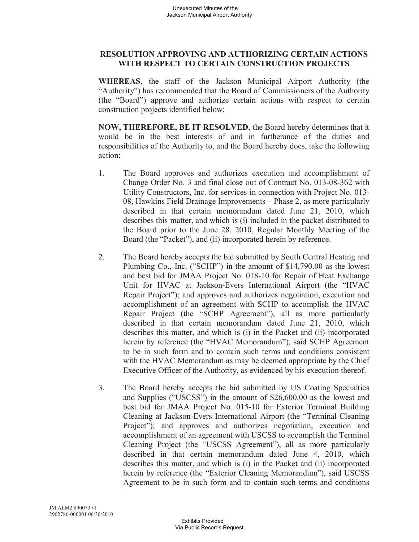### **RESOLUTION APPROVING AND AUTHORIZING CERTAIN ACTIONS WITH RESPECT TO CERTAIN CONSTRUCTION PROJECTS**

**WHEREAS**, the staff of the Jackson Municipal Airport Authority (the "Authority") has recommended that the Board of Commissioners of the Authority (the "Board") approve and authorize certain actions with respect to certain construction projects identified below;

**NOW, THEREFORE, BE IT RESOLVED**, the Board hereby determines that it would be in the best interests of and in furtherance of the duties and responsibilities of the Authority to, and the Board hereby does, take the following action:

- 1. The Board approves and authorizes execution and accomplishment of Change Order No. 3 and final close out of Contract No. 013-08-362 with Utility Constructors, Inc. for services in connection with Project No. 013- 08, Hawkins Field Drainage Improvements – Phase 2, as more particularly described in that certain memorandum dated June 21, 2010, which describes this matter, and which is (i) included in the packet distributed to the Board prior to the June 28, 2010, Regular Monthly Meeting of the Board (the "Packet"), and (ii) incorporated herein by reference.
- 2. The Board hereby accepts the bid submitted by South Central Heating and Plumbing Co., Inc. ("SCHP") in the amount of \$14,790.00 as the lowest and best bid for JMAA Project No. 018-10 for Repair of Heat Exchange Unit for HVAC at Jackson-Evers International Airport (the "HVAC Repair Project"); and approves and authorizes negotiation, execution and accomplishment of an agreement with SCHP to accomplish the HVAC Repair Project (the "SCHP Agreement"), all as more particularly described in that certain memorandum dated June 21, 2010, which describes this matter, and which is (i) in the Packet and (ii) incorporated herein by reference (the "HVAC Memorandum"), said SCHP Agreement to be in such form and to contain such terms and conditions consistent with the HVAC Memorandum as may be deemed appropriate by the Chief Executive Officer of the Authority, as evidenced by his execution thereof.
- 3. The Board hereby accepts the bid submitted by US Coating Specialties and Supplies ("USCSS") in the amount of \$26,600.00 as the lowest and best bid for JMAA Project No. 015-10 for Exterior Terminal Building Cleaning at Jackson-Evers International Airport (the "Terminal Cleaning Project"); and approves and authorizes negotiation, execution and accomplishment of an agreement with USCSS to accomplish the Terminal Cleaning Project (the "USCSS Agreement"), all as more particularly described in that certain memorandum dated June 4, 2010, which describes this matter, and which is (i) in the Packet and (ii) incorporated herein by reference (the "Exterior Cleaning Memorandum"), said USCSS Agreement to be in such form and to contain such terms and conditions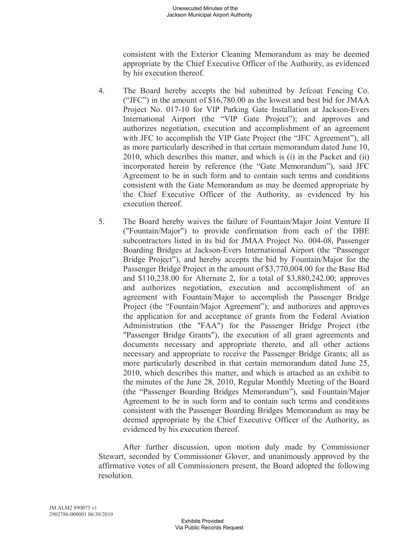consistent with the Exterior Cleaning Memorandum as may be deemed appropriate by the Chief Executive Officer of the Authority, as evidenced by his execution thereof.

- 4. The Board hereby accepts the bid submitted by Jefcoat Fencing Co. ("JFC") in the amount of \$16,780.00 as the lowest and best bid for JMAA Project No. 017-10 for VIP Parking Gate Installation at Jackson-Evers International Airport (the "VIP Gate Project"); and approves and authorizes negotiation, execution and accomplishment of an agreement with JFC to accomplish the VIP Gate Project (the "JFC Agreement"), all as more particularly described in that certain memorandum dated June 10, 2010, which describes this matter, and which is (i) in the Packet and (ii) incorporated herein by reference (the "Gate Memorandum"), said JFC Agreement to be in such form and to contain such terms and conditions consistent with the Gate Memorandum as may be deemed appropriate by the Chief Executive Officer of the Authority, as evidenced by his execution thereof.
- 5. The Board hereby waives the failure of Fountain/Major Joint Venture II ("Fountain/Major") to provide confirmation from each of the DBE subcontractors listed in its bid for JMAA Project No. 004-08, Passenger Boarding Bridges at Jackson-Evers International Airport (the "Passenger Bridge Project"), and hereby accepts the bid by Fountain/Major for the Passenger Bridge Project in the amount of \$3,770,004.00 for the Base Bid and \$110,238.00 for Alternate 2, for a total of \$3,880,242.00; approves and authorizes negotiation, execution and accomplishment of an agreement with Fountain/Major to accomplish the Passenger Bridge Project (the "Fountain/Major Agreement"); and authorizes and approves the application for and acceptance of grants from the Federal Aviation Administration (the "FAA") for the Passenger Bridge Project (the "Passenger Bridge Grants"), the execution of all grant agreements and documents necessary and appropriate thereto, and all other actions necessary and appropriate to receive the Passenger Bridge Grants; all as more particularly described in that certain memorandum dated June 25, 2010, which describes this matter, and which is attached as an exhibit to the minutes of the June 28, 2010, Regular Monthly Meeting of the Board (the "Passenger Boarding Bridges Memorandum"), said Fountain/Major Agreement to be in such form and to contain such terms and conditions consistent with the Passenger Boarding Bridges Memorandum as may be deemed appropriate by the Chief Executive Officer of the Authority, as evidenced by his execution thereof.

After further discussion, upon motion duly made by Commissioner Stewart, seconded by Commissioner Glover, and unanimously approved by the affirmative votes of all Commissioners present, the Board adopted the following resolution.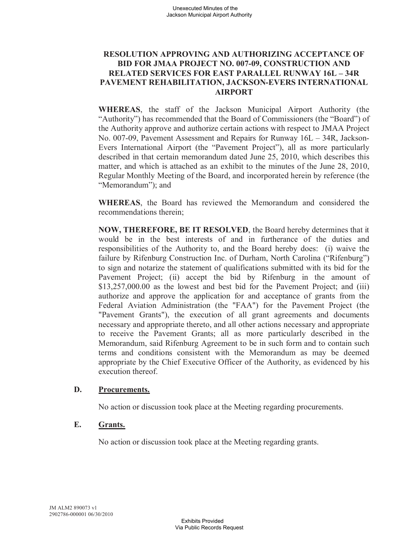### **RESOLUTION APPROVING AND AUTHORIZING ACCEPTANCE OF BID FOR JMAA PROJECT NO. 007-09, CONSTRUCTION AND RELATED SERVICES FOR EAST PARALLEL RUNWAY 16L – 34R PAVEMENT REHABILITATION, JACKSON-EVERS INTERNATIONAL AIRPORT**

**WHEREAS**, the staff of the Jackson Municipal Airport Authority (the "Authority") has recommended that the Board of Commissioners (the "Board") of the Authority approve and authorize certain actions with respect to JMAA Project No. 007-09, Pavement Assessment and Repairs for Runway 16L – 34R, Jackson-Evers International Airport (the "Pavement Project"), all as more particularly described in that certain memorandum dated June 25, 2010, which describes this matter, and which is attached as an exhibit to the minutes of the June 28, 2010, Regular Monthly Meeting of the Board, and incorporated herein by reference (the "Memorandum"); and

**WHEREAS**, the Board has reviewed the Memorandum and considered the recommendations therein;

**NOW, THEREFORE, BE IT RESOLVED**, the Board hereby determines that it would be in the best interests of and in furtherance of the duties and responsibilities of the Authority to, and the Board hereby does: (i) waive the failure by Rifenburg Construction Inc. of Durham, North Carolina ("Rifenburg") to sign and notarize the statement of qualifications submitted with its bid for the Pavement Project; (ii) accept the bid by Rifenburg in the amount of \$13,257,000.00 as the lowest and best bid for the Pavement Project; and (iii) authorize and approve the application for and acceptance of grants from the Federal Aviation Administration (the "FAA") for the Pavement Project (the "Pavement Grants"), the execution of all grant agreements and documents necessary and appropriate thereto, and all other actions necessary and appropriate to receive the Pavement Grants; all as more particularly described in the Memorandum, said Rifenburg Agreement to be in such form and to contain such terms and conditions consistent with the Memorandum as may be deemed appropriate by the Chief Executive Officer of the Authority, as evidenced by his execution thereof.

### **D. Procurements.**

No action or discussion took place at the Meeting regarding procurements.

### **E. Grants.**

No action or discussion took place at the Meeting regarding grants.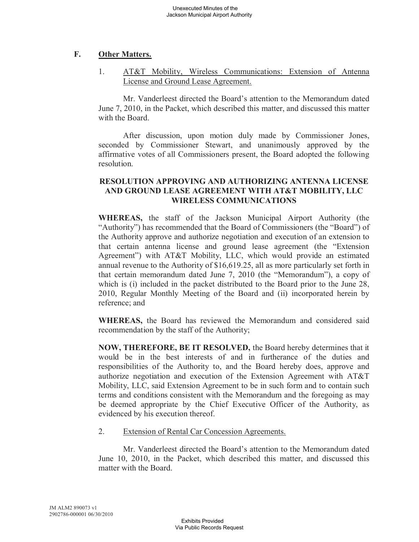# **F. Other Matters.**

1. AT&T Mobility, Wireless Communications: Extension of Antenna License and Ground Lease Agreement.

Mr. Vanderleest directed the Board's attention to the Memorandum dated June 7, 2010, in the Packet, which described this matter, and discussed this matter with the Board.

After discussion, upon motion duly made by Commissioner Jones, seconded by Commissioner Stewart, and unanimously approved by the affirmative votes of all Commissioners present, the Board adopted the following resolution.

### **RESOLUTION APPROVING AND AUTHORIZING ANTENNA LICENSE AND GROUND LEASE AGREEMENT WITH AT&T MOBILITY, LLC WIRELESS COMMUNICATIONS**

**WHEREAS,** the staff of the Jackson Municipal Airport Authority (the "Authority") has recommended that the Board of Commissioners (the "Board") of the Authority approve and authorize negotiation and execution of an extension to that certain antenna license and ground lease agreement (the "Extension Agreement") with AT&T Mobility, LLC, which would provide an estimated annual revenue to the Authority of \$16,619.25, all as more particularly set forth in that certain memorandum dated June 7, 2010 (the "Memorandum"), a copy of which is (i) included in the packet distributed to the Board prior to the June 28, 2010, Regular Monthly Meeting of the Board and (ii) incorporated herein by reference; and

**WHEREAS,** the Board has reviewed the Memorandum and considered said recommendation by the staff of the Authority;

**NOW, THEREFORE, BE IT RESOLVED,** the Board hereby determines that it would be in the best interests of and in furtherance of the duties and responsibilities of the Authority to, and the Board hereby does, approve and authorize negotiation and execution of the Extension Agreement with AT&T Mobility, LLC, said Extension Agreement to be in such form and to contain such terms and conditions consistent with the Memorandum and the foregoing as may be deemed appropriate by the Chief Executive Officer of the Authority, as evidenced by his execution thereof.

2. Extension of Rental Car Concession Agreements.

Mr. Vanderleest directed the Board's attention to the Memorandum dated June 10, 2010, in the Packet, which described this matter, and discussed this matter with the Board.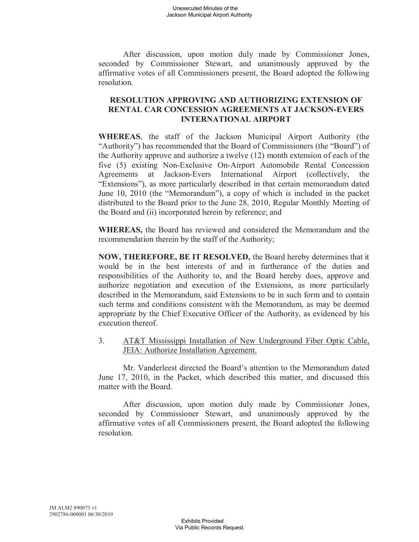After discussion, upon motion duly made by Commissioner Jones, seconded by Commissioner Stewart, and unanimously approved by the affirmative votes of all Commissioners present, the Board adopted the following resolution.

#### **RESOLUTION APPROVING AND AUTHORIZING EXTENSION OF RENTAL CAR CONCESSION AGREEMENTS AT JACKSON-EVERS INTERNATIONAL AIRPORT**

**WHEREAS**, the staff of the Jackson Municipal Airport Authority (the "Authority") has recommended that the Board of Commissioners (the "Board") of the Authority approve and authorize a twelve (12) month extension of each of the five (5) existing Non-Exclusive On-Airport Automobile Rental Concession Agreements at Jackson-Evers International Airport (collectively, the "Extensions"), as more particularly described in that certain memorandum dated June 10, 2010 (the "Memorandum"), a copy of which is included in the packet distributed to the Board prior to the June 28, 2010, Regular Monthly Meeting of the Board and (ii) incorporated herein by reference; and

**WHEREAS,** the Board has reviewed and considered the Memorandum and the recommendation therein by the staff of the Authority;

**NOW, THEREFORE, BE IT RESOLVED,** the Board hereby determines that it would be in the best interests of and in furtherance of the duties and responsibilities of the Authority to, and the Board hereby does, approve and authorize negotiation and execution of the Extensions, as more particularly described in the Memorandum, said Extensions to be in such form and to contain such terms and conditions consistent with the Memorandum, as may be deemed appropriate by the Chief Executive Officer of the Authority, as evidenced by his execution thereof.

3. AT&T Mississippi Installation of New Underground Fiber Optic Cable, JEIA: Authorize Installation Agreement.

Mr. Vanderleest directed the Board's attention to the Memorandum dated June 17, 2010, in the Packet, which described this matter, and discussed this matter with the Board.

After discussion, upon motion duly made by Commissioner Jones, seconded by Commissioner Stewart, and unanimously approved by the affirmative votes of all Commissioners present, the Board adopted the following resolution.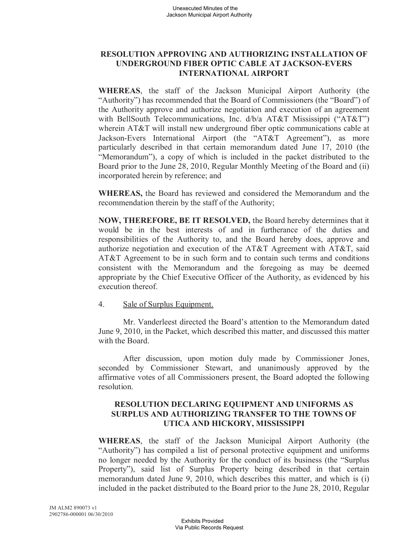### **RESOLUTION APPROVING AND AUTHORIZING INSTALLATION OF UNDERGROUND FIBER OPTIC CABLE AT JACKSON-EVERS INTERNATIONAL AIRPORT**

**WHEREAS**, the staff of the Jackson Municipal Airport Authority (the "Authority") has recommended that the Board of Commissioners (the "Board") of the Authority approve and authorize negotiation and execution of an agreement with BellSouth Telecommunications, Inc. d/b/a AT&T Mississippi ("AT&T") wherein AT&T will install new underground fiber optic communications cable at Jackson-Evers International Airport (the "AT&T Agreement"), as more particularly described in that certain memorandum dated June 17, 2010 (the "Memorandum"), a copy of which is included in the packet distributed to the Board prior to the June 28, 2010, Regular Monthly Meeting of the Board and (ii) incorporated herein by reference; and

**WHEREAS,** the Board has reviewed and considered the Memorandum and the recommendation therein by the staff of the Authority;

**NOW, THEREFORE, BE IT RESOLVED,** the Board hereby determines that it would be in the best interests of and in furtherance of the duties and responsibilities of the Authority to, and the Board hereby does, approve and authorize negotiation and execution of the AT&T Agreement with AT&T, said AT&T Agreement to be in such form and to contain such terms and conditions consistent with the Memorandum and the foregoing as may be deemed appropriate by the Chief Executive Officer of the Authority, as evidenced by his execution thereof.

#### 4. Sale of Surplus Equipment.

Mr. Vanderleest directed the Board's attention to the Memorandum dated June 9, 2010, in the Packet, which described this matter, and discussed this matter with the Board.

After discussion, upon motion duly made by Commissioner Jones, seconded by Commissioner Stewart, and unanimously approved by the affirmative votes of all Commissioners present, the Board adopted the following resolution.

#### **RESOLUTION DECLARING EQUIPMENT AND UNIFORMS AS SURPLUS AND AUTHORIZING TRANSFER TO THE TOWNS OF UTICA AND HICKORY, MISSISSIPPI**

**WHEREAS**, the staff of the Jackson Municipal Airport Authority (the "Authority") has compiled a list of personal protective equipment and uniforms no longer needed by the Authority for the conduct of its business (the "Surplus Property"), said list of Surplus Property being described in that certain memorandum dated June 9, 2010, which describes this matter, and which is (i) included in the packet distributed to the Board prior to the June 28, 2010, Regular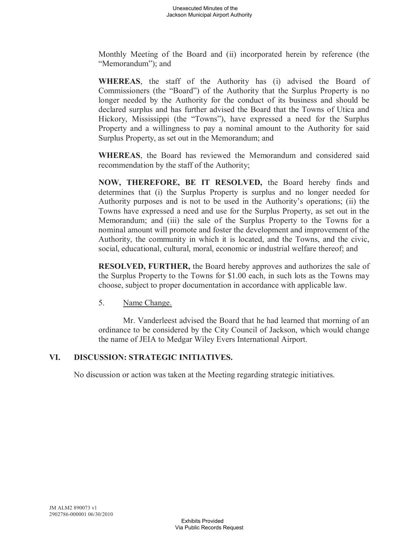Monthly Meeting of the Board and (ii) incorporated herein by reference (the "Memorandum"); and

**WHEREAS**, the staff of the Authority has (i) advised the Board of Commissioners (the "Board") of the Authority that the Surplus Property is no longer needed by the Authority for the conduct of its business and should be declared surplus and has further advised the Board that the Towns of Utica and Hickory, Mississippi (the "Towns"), have expressed a need for the Surplus Property and a willingness to pay a nominal amount to the Authority for said Surplus Property, as set out in the Memorandum; and

**WHEREAS**, the Board has reviewed the Memorandum and considered said recommendation by the staff of the Authority;

**NOW, THEREFORE, BE IT RESOLVED,** the Board hereby finds and determines that (i) the Surplus Property is surplus and no longer needed for Authority purposes and is not to be used in the Authority's operations; (ii) the Towns have expressed a need and use for the Surplus Property, as set out in the Memorandum; and (iii) the sale of the Surplus Property to the Towns for a nominal amount will promote and foster the development and improvement of the Authority, the community in which it is located, and the Towns, and the civic, social, educational, cultural, moral, economic or industrial welfare thereof; and

**RESOLVED, FURTHER,** the Board hereby approves and authorizes the sale of the Surplus Property to the Towns for \$1.00 each, in such lots as the Towns may choose, subject to proper documentation in accordance with applicable law.

### 5. Name Change.

Mr. Vanderleest advised the Board that he had learned that morning of an ordinance to be considered by the City Council of Jackson, which would change the name of JEIA to Medgar Wiley Evers International Airport.

### **VI. DISCUSSION: STRATEGIC INITIATIVES.**

No discussion or action was taken at the Meeting regarding strategic initiatives.